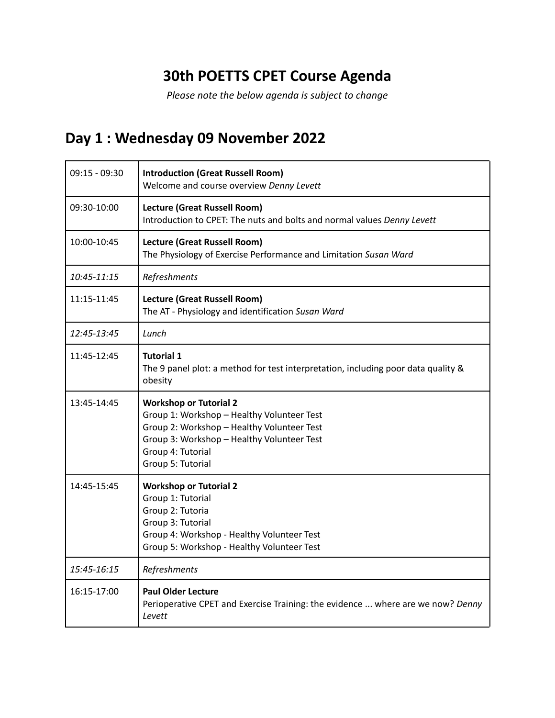## **30th POETTS CPET Course Agenda**

*Please note the below agenda is subject to change*

## **Day 1 : Wednesday 09 November 2022**

| $09:15 - 09:30$ | <b>Introduction (Great Russell Room)</b><br>Welcome and course overview Denny Levett                                                                                                                              |
|-----------------|-------------------------------------------------------------------------------------------------------------------------------------------------------------------------------------------------------------------|
| 09:30-10:00     | <b>Lecture (Great Russell Room)</b><br>Introduction to CPET: The nuts and bolts and normal values Denny Levett                                                                                                    |
| 10:00-10:45     | Lecture (Great Russell Room)<br>The Physiology of Exercise Performance and Limitation Susan Ward                                                                                                                  |
| 10:45-11:15     | Refreshments                                                                                                                                                                                                      |
| 11:15-11:45     | <b>Lecture (Great Russell Room)</b><br>The AT - Physiology and identification Susan Ward                                                                                                                          |
| 12:45-13:45     | Lunch                                                                                                                                                                                                             |
| 11:45-12:45     | <b>Tutorial 1</b><br>The 9 panel plot: a method for test interpretation, including poor data quality &<br>obesity                                                                                                 |
| 13:45-14:45     | <b>Workshop or Tutorial 2</b><br>Group 1: Workshop - Healthy Volunteer Test<br>Group 2: Workshop - Healthy Volunteer Test<br>Group 3: Workshop - Healthy Volunteer Test<br>Group 4: Tutorial<br>Group 5: Tutorial |
| 14:45-15:45     | <b>Workshop or Tutorial 2</b><br>Group 1: Tutorial<br>Group 2: Tutoria<br>Group 3: Tutorial<br>Group 4: Workshop - Healthy Volunteer Test<br>Group 5: Workshop - Healthy Volunteer Test                           |
| 15:45-16:15     | Refreshments                                                                                                                                                                                                      |
| 16:15-17:00     | <b>Paul Older Lecture</b><br>Perioperative CPET and Exercise Training: the evidence  where are we now? Denny<br>Levett                                                                                            |